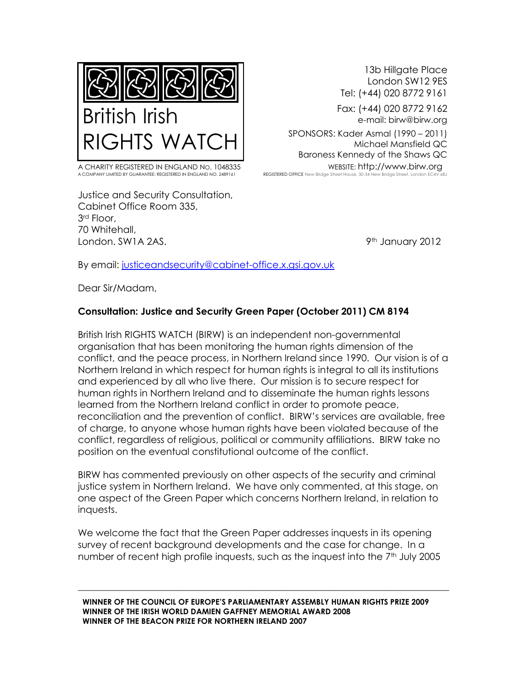

A CHARITY REGISTERED IN ENGLAND NO. 1048335 WEBSITE: http://www.birw.org<br>A COMPANY IIMITED BY GUARANTEE: REGISTERED IN ENGLAND NO. 2489161 REGISTERED OFFICE New Bridge Street House, 30-34 New Bridge Street. London EC4V 6B A COMPANY LIMITED BY GUARANTEE: REGISTERED IN ENGLAND NO. 248916

Justice and Security Consultation, Cabinet Office Room 335, 3rd Floor, 70 Whitehall, London. SW1A 2AS. 9th January 2012

13b Hillgate Place London SW12 9ES Tel: (+44) 020 8772 9161

e-mail: birw@birw.org

Michael Mansfield QC Baroness Kennedy of the Shaws QC

By email: [justiceandsecurity@cabinet-office.x.gsi.gov.uk](mailto:justiceandsecurity@cabinet-office.x.gsi.gov.uk)

Dear Sir/Madam,

## **Consultation: Justice and Security Green Paper (October 2011) CM 8194**

British Irish RIGHTS WATCH (BIRW) is an independent non-governmental organisation that has been monitoring the human rights dimension of the conflict, and the peace process, in Northern Ireland since 1990. Our vision is of a Northern Ireland in which respect for human rights is integral to all its institutions and experienced by all who live there. Our mission is to secure respect for human rights in Northern Ireland and to disseminate the human rights lessons learned from the Northern Ireland conflict in order to promote peace, reconciliation and the prevention of conflict. BIRW"s services are available, free of charge, to anyone whose human rights have been violated because of the conflict, regardless of religious, political or community affiliations. BIRW take no position on the eventual constitutional outcome of the conflict.

BIRW has commented previously on other aspects of the security and criminal justice system in Northern Ireland. We have only commented, at this stage, on one aspect of the Green Paper which concerns Northern Ireland, in relation to inquests.

We welcome the fact that the Green Paper addresses inquests in its opening survey of recent background developments and the case for change. In a number of recent high profile inquests, such as the inquest into the 7<sup>th</sup> July 2005

\_\_\_\_\_\_\_\_\_\_\_\_\_\_\_\_\_\_\_\_\_\_\_\_\_\_\_\_\_\_\_\_\_\_\_\_\_\_\_\_\_\_\_\_\_\_\_\_\_\_\_\_\_\_\_\_\_\_\_\_\_\_\_\_\_\_\_\_\_\_\_\_\_\_\_\_\_\_

**WINNER OF THE COUNCIL OF EUROPE'S PARLIAMENTARY ASSEMBLY HUMAN RIGHTS PRIZE 2009 WINNER OF THE IRISH WORLD DAMIEN GAFFNEY MEMORIAL AWARD 2008 WINNER OF THE BEACON PRIZE FOR NORTHERN IRELAND 2007**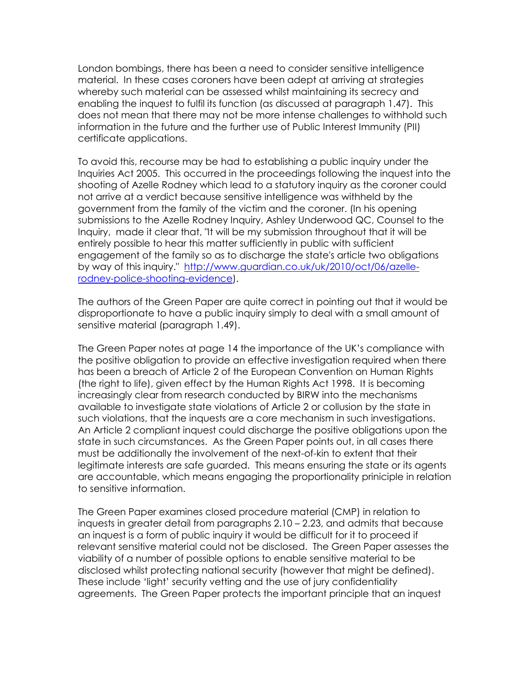London bombings, there has been a need to consider sensitive intelligence material. In these cases coroners have been adept at arriving at strategies whereby such material can be assessed whilst maintaining its secrecy and enabling the inquest to fulfil its function (as discussed at paragraph 1.47). This does not mean that there may not be more intense challenges to withhold such information in the future and the further use of Public Interest Immunity (PII) certificate applications.

To avoid this, recourse may be had to establishing a public inquiry under the Inquiries Act 2005. This occurred in the proceedings following the inquest into the shooting of Azelle Rodney which lead to a statutory inquiry as the coroner could not arrive at a verdict because sensitive intelligence was withheld by the government from the family of the victim and the coroner. (In his opening submissions to the Azelle Rodney Inquiry, Ashley Underwood QC, Counsel to the Inquiry, made it clear that, "It will be my submission throughout that it will be entirely possible to hear this matter sufficiently in public with sufficient engagement of the family so as to discharge the state's article two obligations by way of this inquiry." [http://www.guardian.co.uk/uk/2010/oct/06/azelle](http://www.guardian.co.uk/uk/2010/oct/06/azelle-rodney-police-shooting-evidence)[rodney-police-shooting-evidence\)](http://www.guardian.co.uk/uk/2010/oct/06/azelle-rodney-police-shooting-evidence).

The authors of the Green Paper are quite correct in pointing out that it would be disproportionate to have a public inquiry simply to deal with a small amount of sensitive material (paragraph 1.49).

The Green Paper notes at page 14 the importance of the UK"s compliance with the positive obligation to provide an effective investigation required when there has been a breach of Article 2 of the European Convention on Human Rights (the right to life), given effect by the Human Rights Act 1998. It is becoming increasingly clear from research conducted by BIRW into the mechanisms available to investigate state violations of Article 2 or collusion by the state in such violations, that the inquests are a core mechanism in such investigations. An Article 2 compliant inquest could discharge the positive obligations upon the state in such circumstances. As the Green Paper points out, in all cases there must be additionally the involvement of the next-of-kin to extent that their legitimate interests are safe guarded. This means ensuring the state or its agents are accountable, which means engaging the proportionality priniciple in relation to sensitive information.

The Green Paper examines closed procedure material (CMP) in relation to inquests in greater detail from paragraphs 2.10 – 2.23, and admits that because an inquest is a form of public inquiry it would be difficult for it to proceed if relevant sensitive material could not be disclosed. The Green Paper assesses the viability of a number of possible options to enable sensitive material to be disclosed whilst protecting national security (however that might be defined). These include "light" security vetting and the use of jury confidentiality agreements. The Green Paper protects the important principle that an inquest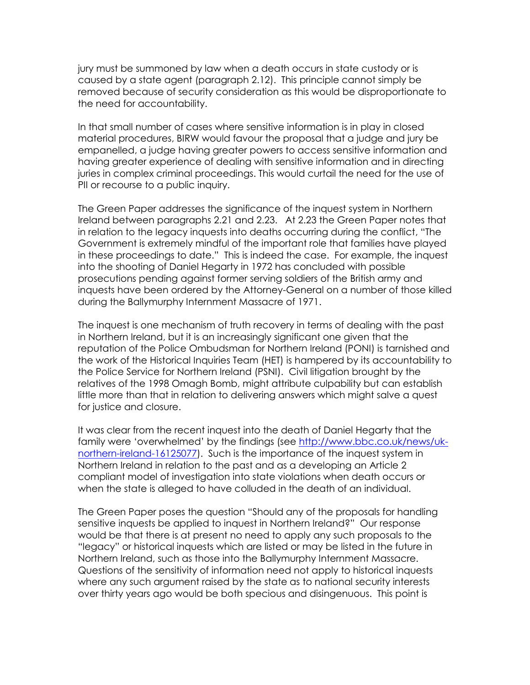jury must be summoned by law when a death occurs in state custody or is caused by a state agent (paragraph 2.12). This principle cannot simply be removed because of security consideration as this would be disproportionate to the need for accountability.

In that small number of cases where sensitive information is in play in closed material procedures, BIRW would favour the proposal that a judge and jury be empanelled, a judge having greater powers to access sensitive information and having greater experience of dealing with sensitive information and in directing juries in complex criminal proceedings. This would curtail the need for the use of PII or recourse to a public inquiry.

The Green Paper addresses the significance of the inquest system in Northern Ireland between paragraphs 2.21 and 2.23. At 2.23 the Green Paper notes that in relation to the legacy inquests into deaths occurring during the conflict, "The Government is extremely mindful of the important role that families have played in these proceedings to date." This is indeed the case. For example, the inquest into the shooting of Daniel Hegarty in 1972 has concluded with possible prosecutions pending against former serving soldiers of the British army and inquests have been ordered by the Attorney-General on a number of those killed during the Ballymurphy Internment Massacre of 1971.

The inquest is one mechanism of truth recovery in terms of dealing with the past in Northern Ireland, but it is an increasingly significant one given that the reputation of the Police Ombudsman for Northern Ireland (PONI) is tarnished and the work of the Historical Inquiries Team (HET) is hampered by its accountability to the Police Service for Northern Ireland (PSNI). Civil litigation brought by the relatives of the 1998 Omagh Bomb, might attribute culpability but can establish little more than that in relation to delivering answers which might salve a quest for justice and closure.

It was clear from the recent inquest into the death of Daniel Hegarty that the family were "overwhelmed" by the findings (see [http://www.bbc.co.uk/news/uk](http://www.bbc.co.uk/news/uk-northern-ireland-16125077)[northern-ireland-16125077\)](http://www.bbc.co.uk/news/uk-northern-ireland-16125077). Such is the importance of the inquest system in Northern Ireland in relation to the past and as a developing an Article 2 compliant model of investigation into state violations when death occurs or when the state is alleged to have colluded in the death of an individual.

The Green Paper poses the question "Should any of the proposals for handling sensitive inquests be applied to inquest in Northern Ireland?" Our response would be that there is at present no need to apply any such proposals to the "legacy" or historical inquests which are listed or may be listed in the future in Northern Ireland, such as those into the Ballymurphy Internment Massacre. Questions of the sensitivity of information need not apply to historical inquests where any such argument raised by the state as to national security interests over thirty years ago would be both specious and disingenuous. This point is